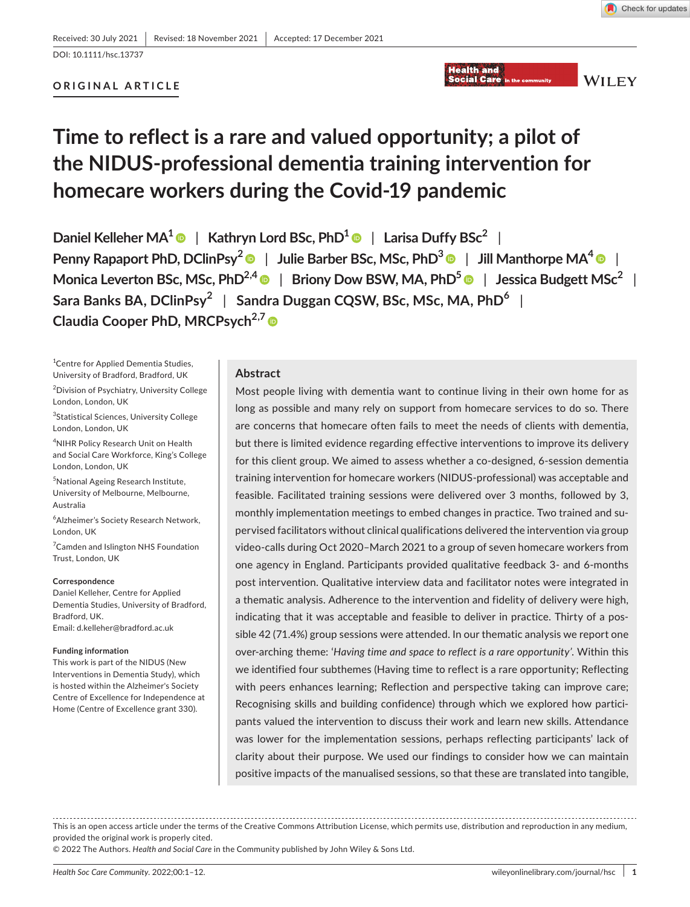**WILEY** 

#### DOI: 10.1111/hsc.13737

# **ORIGINAL ARTICLE**

# **Time to reflect is a rare and valued opportunity; a pilot of the NIDUS-professional dementia training intervention for homecare workers during the Covid-19 pandemic**

**Daniel Kelleher MA1** | **Kathryn Lord BSc, PhD1** | **Larisa Duffy BSc2** | **Penny Rapaport PhD, DClinPsy2** | **Julie Barber BSc, MSc, PhD3** | **Jill Manthorpe MA[4](https://orcid.org/0000-0001-9006-1410)** | **Monica Leverton BSc, MSc, PhD<sup>2,[4](https://orcid.org/0000-0001-6678-5865)</sup> | Briony Dow BSW, MA, PhD<sup>[5](https://orcid.org/0000-0002-4186-314X)</sup> | Jessica Budgett MSc<sup>2</sup> | Sara Banks BA, DClinPsy<sup>2</sup>** | **Sandra Duggan CQSW, BSc, MSc, MA, PhD6** | **Claudia Cooper PhD, MRCPsych<sup>2,[7](https://orcid.org/0000-0002-2777-7616)</sup><sup>®</sup>** 

1 Centre for Applied Dementia Studies, University of Bradford, Bradford, UK

<sup>2</sup> Division of Psychiatry, University College London, London, UK

3 Statistical Sciences, University College London, London, UK

4 NIHR Policy Research Unit on Health and Social Care Workforce, King's College London, London, UK

5 National Ageing Research Institute, University of Melbourne, Melbourne, Australia

6 Alzheimer's Society Research Network, London, UK

<sup>7</sup> Camden and Islington NHS Foundation Trust, London, UK

#### **Correspondence**

Daniel Kelleher, Centre for Applied Dementia Studies, University of Bradford, Bradford, UK. Email: [d.kelleher@bradford.ac.uk](mailto:d.kelleher@bradford.ac.uk)

#### **Funding information**

This work is part of the NIDUS (New Interventions in Dementia Study), which is hosted within the Alzheimer's Society Centre of Excellence for Independence at Home (Centre of Excellence grant 330).

#### **Abstract**

Most people living with dementia want to continue living in their own home for as long as possible and many rely on support from homecare services to do so. There are concerns that homecare often fails to meet the needs of clients with dementia, but there is limited evidence regarding effective interventions to improve its delivery for this client group. We aimed to assess whether a co-designed, 6-session dementia training intervention for homecare workers (NIDUS-professional) was acceptable and feasible. Facilitated training sessions were delivered over 3 months, followed by 3, monthly implementation meetings to embed changes in practice. Two trained and supervised facilitators without clinical qualifications delivered the intervention via group video-calls during Oct 2020–March 2021 to a group of seven homecare workers from one agency in England. Participants provided qualitative feedback 3- and 6-months post intervention. Qualitative interview data and facilitator notes were integrated in a thematic analysis. Adherence to the intervention and fidelity of delivery were high, indicating that it was acceptable and feasible to deliver in practice. Thirty of a possible 42 (71.4%) group sessions were attended. In our thematic analysis we report one over-arching theme: '*Having time and space to reflect is a rare opportunity'*. Within this we identified four subthemes (Having time to reflect is a rare opportunity; Reflecting with peers enhances learning; Reflection and perspective taking can improve care; Recognising skills and building confidence) through which we explored how participants valued the intervention to discuss their work and learn new skills. Attendance was lower for the implementation sessions, perhaps reflecting participants' lack of clarity about their purpose. We used our findings to consider how we can maintain positive impacts of the manualised sessions, so that these are translated into tangible,

**Health and Social Care** 

This is an open access article under the terms of the [Creative Commons Attribution](http://creativecommons.org/licenses/by/4.0/) License, which permits use, distribution and reproduction in any medium, provided the original work is properly cited.

© 2022 The Authors. *Health and Social Care* in the Community published by John Wiley & Sons Ltd.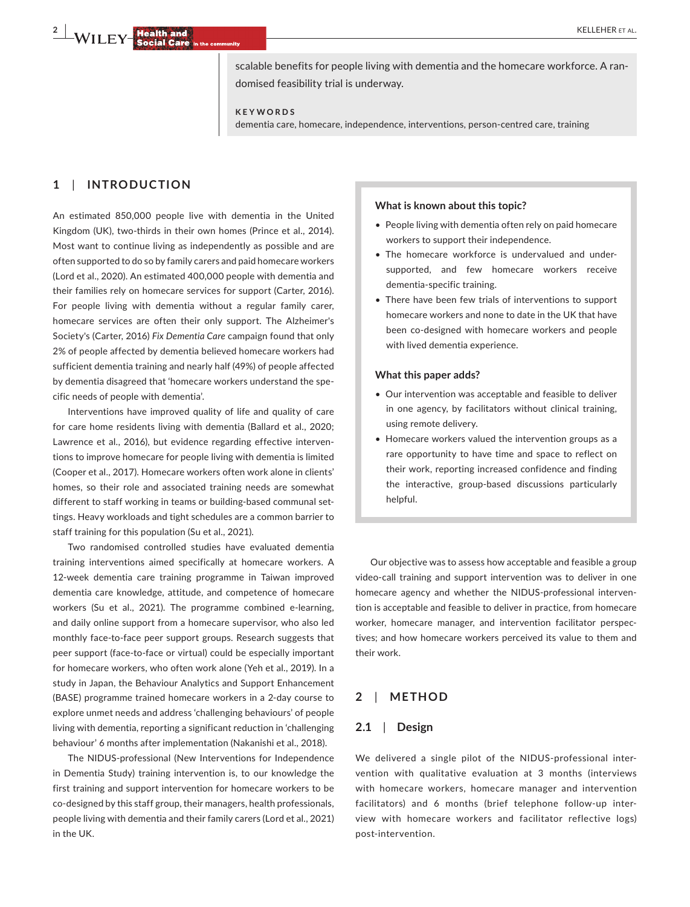**2 | WILEY Realth and <b>ALCOVER ET AL. CALCOVER ET AL. CALCOVER ET AL. CALCOVER ET AL.** 

scalable benefits for people living with dementia and the homecare workforce. A randomised feasibility trial is underway.

**KEYWORDS**

dementia care, homecare, independence, interventions, person-centred care, training

# **1**  | **INTRODUCTION**

An estimated 850,000 people live with dementia in the United Kingdom (UK), two-thirds in their own homes (Prince et al., 2014). Most want to continue living as independently as possible and are often supported to do so by family carers and paid homecare workers (Lord et al., 2020). An estimated 400,000 people with dementia and their families rely on homecare services for support (Carter, 2016). For people living with dementia without a regular family carer, homecare services are often their only support. The Alzheimer's Society's (Carter, 2016) *Fix Dementia Care* campaign found that only 2% of people affected by dementia believed homecare workers had sufficient dementia training and nearly half (49%) of people affected by dementia disagreed that 'homecare workers understand the specific needs of people with dementia'.

Interventions have improved quality of life and quality of care for care home residents living with dementia (Ballard et al., 2020; Lawrence et al., 2016), but evidence regarding effective interventions to improve homecare for people living with dementia is limited (Cooper et al., 2017). Homecare workers often work alone in clients' homes, so their role and associated training needs are somewhat different to staff working in teams or building-based communal settings. Heavy workloads and tight schedules are a common barrier to staff training for this population (Su et al., 2021).

Two randomised controlled studies have evaluated dementia training interventions aimed specifically at homecare workers. A 12-week dementia care training programme in Taiwan improved dementia care knowledge, attitude, and competence of homecare workers (Su et al., 2021). The programme combined e-learning, and daily online support from a homecare supervisor, who also led monthly face-to-face peer support groups. Research suggests that peer support (face-to-face or virtual) could be especially important for homecare workers, who often work alone (Yeh et al., 2019). In a study in Japan, the Behaviour Analytics and Support Enhancement (BASE) programme trained homecare workers in a 2-day course to explore unmet needs and address 'challenging behaviours' of people living with dementia, reporting a significant reduction in 'challenging behaviour' 6 months after implementation (Nakanishi et al., 2018).

The NIDUS-professional (New Interventions for Independence in Dementia Study) training intervention is, to our knowledge the first training and support intervention for homecare workers to be co-designed by this staff group, their managers, health professionals, people living with dementia and their family carers (Lord et al., 2021) in the UK.

#### **What is known about this topic?**

- People living with dementia often rely on paid homecare workers to support their independence.
- The homecare workforce is undervalued and undersupported, and few homecare workers receive dementia-specific training.
- There have been few trials of interventions to support homecare workers and none to date in the UK that have been co-designed with homecare workers and people with lived dementia experience.

#### **What this paper adds?**

- Our intervention was acceptable and feasible to deliver in one agency, by facilitators without clinical training, using remote delivery.
- Homecare workers valued the intervention groups as a rare opportunity to have time and space to reflect on their work, reporting increased confidence and finding the interactive, group-based discussions particularly helpful.

Our objective was to assess how acceptable and feasible a group video-call training and support intervention was to deliver in one homecare agency and whether the NIDUS-professional intervention is acceptable and feasible to deliver in practice, from homecare worker, homecare manager, and intervention facilitator perspectives; and how homecare workers perceived its value to them and their work.

#### **2**  | **METHOD**

#### **2.1**  | **Design**

We delivered a single pilot of the NIDUS-professional intervention with qualitative evaluation at 3 months (interviews with homecare workers, homecare manager and intervention facilitators) and 6 months (brief telephone follow-up interview with homecare workers and facilitator reflective logs) post-intervention.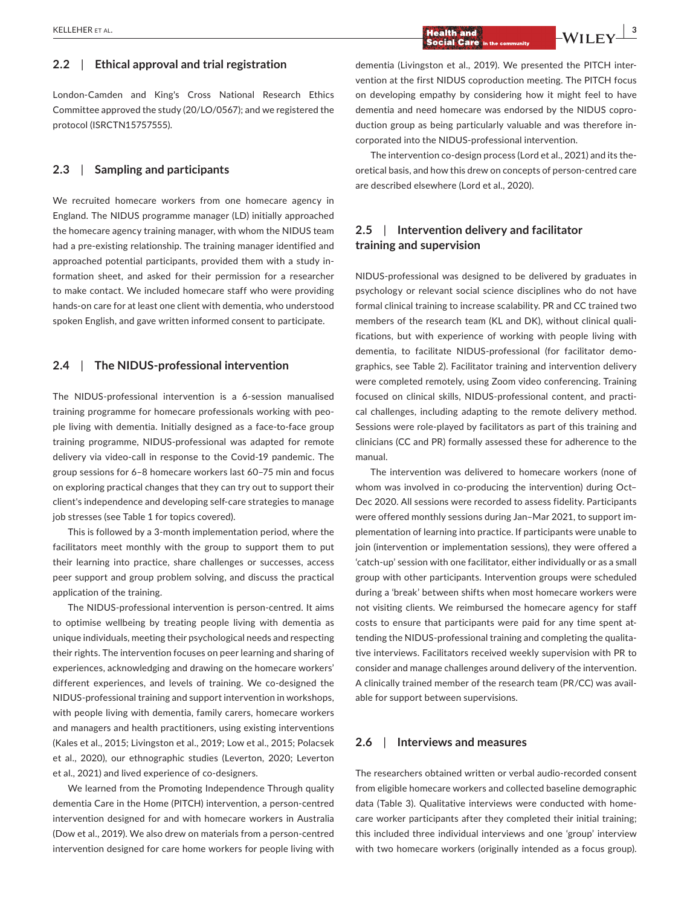# **2.2**  | **Ethical approval and trial registration**

London-Camden and King's Cross National Research Ethics Committee approved the study (20/LO/0567); and we registered the protocol (ISRCTN15757555).

# **2.3**  | **Sampling and participants**

We recruited homecare workers from one homecare agency in England. The NIDUS programme manager (LD) initially approached the homecare agency training manager, with whom the NIDUS team had a pre-existing relationship. The training manager identified and approached potential participants, provided them with a study information sheet, and asked for their permission for a researcher to make contact. We included homecare staff who were providing hands-on care for at least one client with dementia, who understood spoken English, and gave written informed consent to participate.

# **2.4**  | **The NIDUS-professional intervention**

The NIDUS-professional intervention is a 6-session manualised training programme for homecare professionals working with people living with dementia. Initially designed as a face-to-face group training programme, NIDUS-professional was adapted for remote delivery via video-call in response to the Covid-19 pandemic. The group sessions for 6–8 homecare workers last 60–75 min and focus on exploring practical changes that they can try out to support their client's independence and developing self-care strategies to manage job stresses (see Table 1 for topics covered).

This is followed by a 3-month implementation period, where the facilitators meet monthly with the group to support them to put their learning into practice, share challenges or successes, access peer support and group problem solving, and discuss the practical application of the training.

The NIDUS-professional intervention is person-centred. It aims to optimise wellbeing by treating people living with dementia as unique individuals, meeting their psychological needs and respecting their rights. The intervention focuses on peer learning and sharing of experiences, acknowledging and drawing on the homecare workers' different experiences, and levels of training. We co-designed the NIDUS-professional training and support intervention in workshops, with people living with dementia, family carers, homecare workers and managers and health practitioners, using existing interventions (Kales et al., 2015; Livingston et al., 2019; Low et al., 2015; Polacsek et al., 2020), our ethnographic studies (Leverton, 2020; Leverton et al., 2021) and lived experience of co-designers.

We learned from the Promoting Independence Through quality dementia Care in the Home (PITCH) intervention, a person-centred intervention designed for and with homecare workers in Australia (Dow et al., 2019). We also drew on materials from a person-centred intervention designed for care home workers for people living with

dementia (Livingston et al., 2019). We presented the PITCH intervention at the first NIDUS coproduction meeting. The PITCH focus on developing empathy by considering how it might feel to have dementia and need homecare was endorsed by the NIDUS coproduction group as being particularly valuable and was therefore incorporated into the NIDUS-professional intervention.

The intervention co-design process (Lord et al., 2021) and its theoretical basis, and how this drew on concepts of person-centred care are described elsewhere (Lord et al., 2020).

# **2.5**  | **Intervention delivery and facilitator training and supervision**

NIDUS-professional was designed to be delivered by graduates in psychology or relevant social science disciplines who do not have formal clinical training to increase scalability. PR and CC trained two members of the research team (KL and DK), without clinical qualifications, but with experience of working with people living with dementia, to facilitate NIDUS-professional (for facilitator demographics, see Table 2). Facilitator training and intervention delivery were completed remotely, using Zoom video conferencing. Training focused on clinical skills, NIDUS-professional content, and practical challenges, including adapting to the remote delivery method. Sessions were role-played by facilitators as part of this training and clinicians (CC and PR) formally assessed these for adherence to the manual.

The intervention was delivered to homecare workers (none of whom was involved in co-producing the intervention) during Oct– Dec 2020. All sessions were recorded to assess fidelity. Participants were offered monthly sessions during Jan–Mar 2021, to support implementation of learning into practice. If participants were unable to join (intervention or implementation sessions), they were offered a 'catch-up' session with one facilitator, either individually or as a small group with other participants. Intervention groups were scheduled during a 'break' between shifts when most homecare workers were not visiting clients. We reimbursed the homecare agency for staff costs to ensure that participants were paid for any time spent attending the NIDUS-professional training and completing the qualitative interviews. Facilitators received weekly supervision with PR to consider and manage challenges around delivery of the intervention. A clinically trained member of the research team (PR/CC) was available for support between supervisions.

# **2.6**  | **Interviews and measures**

The researchers obtained written or verbal audio-recorded consent from eligible homecare workers and collected baseline demographic data (Table 3). Qualitative interviews were conducted with homecare worker participants after they completed their initial training; this included three individual interviews and one 'group' interview with two homecare workers (originally intended as a focus group).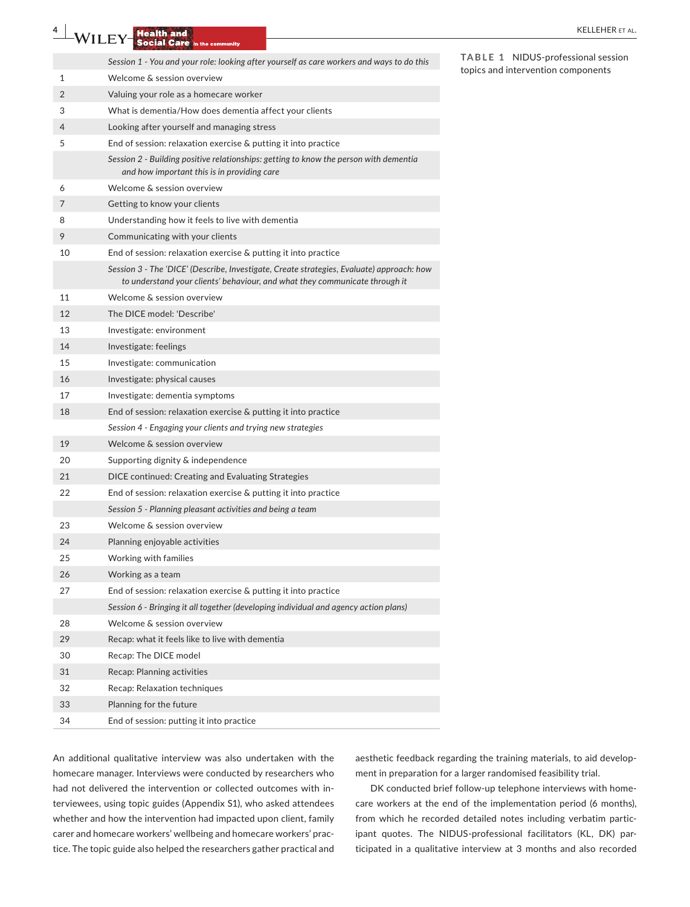|    | , , <b>, , , ,</b> ,<br>Social Care in the community                                                                                                                     |                                    |
|----|--------------------------------------------------------------------------------------------------------------------------------------------------------------------------|------------------------------------|
|    | Session 1 - You and your role: looking after yourself as care workers and ways to do this                                                                                | TABLE 1 NIDUS-professional session |
| 1  | Welcome & session overview                                                                                                                                               | topics and intervention components |
| 2  | Valuing your role as a homecare worker                                                                                                                                   |                                    |
| 3  | What is dementia/How does dementia affect your clients                                                                                                                   |                                    |
| 4  | Looking after yourself and managing stress                                                                                                                               |                                    |
| 5  | End of session: relaxation exercise & putting it into practice                                                                                                           |                                    |
|    | Session 2 - Building positive relationships: getting to know the person with dementia<br>and how important this is in providing care                                     |                                    |
| 6  | Welcome & session overview                                                                                                                                               |                                    |
| 7  | Getting to know your clients                                                                                                                                             |                                    |
| 8  | Understanding how it feels to live with dementia                                                                                                                         |                                    |
| 9  | Communicating with your clients                                                                                                                                          |                                    |
| 10 | End of session: relaxation exercise & putting it into practice                                                                                                           |                                    |
|    | Session 3 - The 'DICE' (Describe, Investigate, Create strategies, Evaluate) approach: how<br>to understand your clients' behaviour, and what they communicate through it |                                    |
| 11 | Welcome & session overview                                                                                                                                               |                                    |
| 12 | The DICE model: 'Describe'                                                                                                                                               |                                    |
| 13 | Investigate: environment                                                                                                                                                 |                                    |
| 14 | Investigate: feelings                                                                                                                                                    |                                    |
| 15 | Investigate: communication                                                                                                                                               |                                    |
| 16 | Investigate: physical causes                                                                                                                                             |                                    |
| 17 | Investigate: dementia symptoms                                                                                                                                           |                                    |
| 18 | End of session: relaxation exercise & putting it into practice                                                                                                           |                                    |
|    | Session 4 - Engaging your clients and trying new strategies                                                                                                              |                                    |
| 19 | Welcome & session overview                                                                                                                                               |                                    |
| 20 | Supporting dignity & independence                                                                                                                                        |                                    |
| 21 | DICE continued: Creating and Evaluating Strategies                                                                                                                       |                                    |
| 22 | End of session: relaxation exercise & putting it into practice                                                                                                           |                                    |
|    | Session 5 - Planning pleasant activities and being a team                                                                                                                |                                    |
| 23 | Welcome & session overview                                                                                                                                               |                                    |
| 24 | Planning enjoyable activities                                                                                                                                            |                                    |
| 25 | Working with families                                                                                                                                                    |                                    |
| 26 | Working as a team                                                                                                                                                        |                                    |
| 27 | End of session: relaxation exercise & putting it into practice                                                                                                           |                                    |
|    | Session 6 - Bringing it all together (developing individual and agency action plans)                                                                                     |                                    |
| 28 | Welcome & session overview                                                                                                                                               |                                    |
| 29 | Recap: what it feels like to live with dementia                                                                                                                          |                                    |
| 30 | Recap: The DICE model                                                                                                                                                    |                                    |
| 31 | Recap: Planning activities                                                                                                                                               |                                    |
| 32 | Recap: Relaxation techniques                                                                                                                                             |                                    |
| 33 | Planning for the future                                                                                                                                                  |                                    |
| 34 | End of session: putting it into practice                                                                                                                                 |                                    |

An additional qualitative interview was also undertaken with the homecare manager. Interviews were conducted by researchers who had not delivered the intervention or collected outcomes with interviewees, using topic guides (Appendix S1), who asked attendees whether and how the intervention had impacted upon client, family carer and homecare workers' wellbeing and homecare workers' practice. The topic guide also helped the researchers gather practical and aesthetic feedback regarding the training materials, to aid development in preparation for a larger randomised feasibility trial.

DK conducted brief follow-up telephone interviews with homecare workers at the end of the implementation period (6 months), from which he recorded detailed notes including verbatim participant quotes. The NIDUS-professional facilitators (KL, DK) participated in a qualitative interview at 3 months and also recorded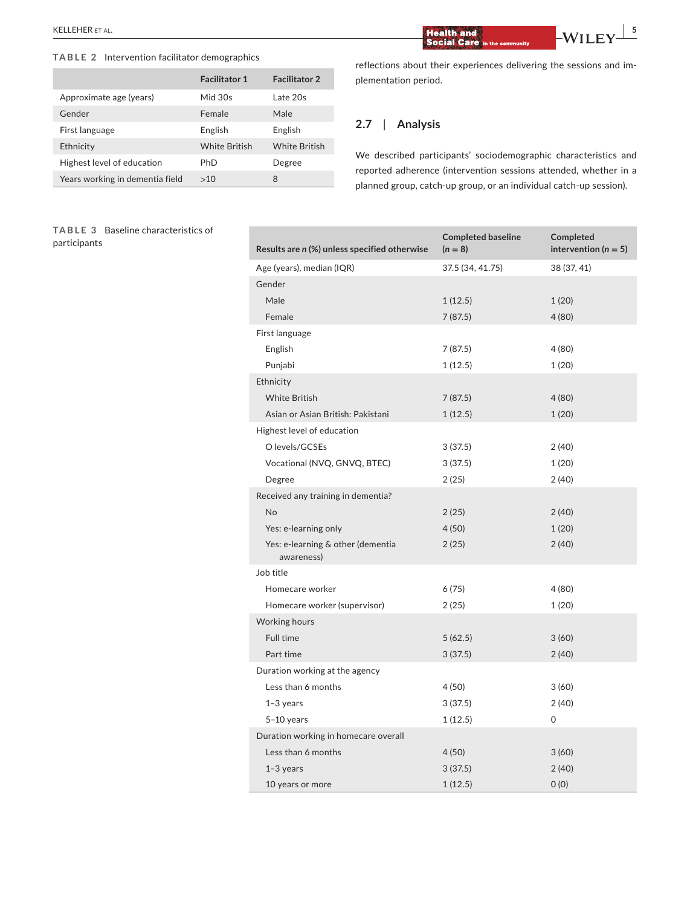### **TABLE 2** Intervention facilitator demographics

|                                 | <b>Facilitator 1</b> | <b>Facilitator 2</b> |
|---------------------------------|----------------------|----------------------|
| Approximate age (years)         | Mid 30s              | Late 20s             |
| Gender                          | Female               | Male                 |
| First language                  | English              | English              |
| Ethnicity                       | <b>White British</b> | <b>White British</b> |
| Highest level of education      | PhD                  | Degree               |
| Years working in dementia field | >10                  | 8                    |

### **TABLE 3** Baseline characteristics of participants

**Results are** *n* **(%) unless specified otherwise Completed baseline**   $(n = 8)$ **Completed**   $intervention (n = 5)$ Age (years), median (IQR) 37.5 (34, 41.75) 38 (37, 41) Gender Male 1 (12.5) 1 (20) Female 7 (87.5) 4 (80) First language English 7 (87.5) 4 (80) Punjabi 1 (12.5) 1 (20) Ethnicity White British 4 (80) Asian or Asian British: Pakistani 1 (12.5) 1 (20) Highest level of education O levels/GCSEs 3 (37.5) 2 (40) Vocational (NVQ, GNVQ, BTEC) 3 (37.5) 1 (20) Degree 2 (25) 2 (40) Received any training in dementia? No 2 (25) 2 (40) Yes: e-learning only 120) 4 (50) 120 Yes: e-learning & other (dementia awareness) 2 (25) 2 (40) Job title Homecare worker 6 (75) 4 (80) Homecare worker (supervisor) 2 (25) 1 (20) Working hours  $5 (62.5)$  3 (60) Part time 2 (40) Duration working at the agency Less than 6 months  $4(50)$  3 (60) 1–3 years 3 (37.5) 2 (40) 5–10 years 1 (12.5) 0 Duration working in homecare overall Less than 6 months  $4(50)$   $3(60)$ 1–3 years 3 (37.5) 2 (40) 10 years or more 1 (12.5) 0 (0)

 $\frac{1}{2}$  **ELLEHER** ET AL. *P* **EXECUTER EXECUTER EXECUTER EXECUTER EXECUTER EXECUTER EXECUTER EXECUTER EXECUTER EXECUTER EXECUTER EXECUTER EXECUTER EXECUTER EXECUTER EXECUTER EXECUTER** 

plementation period.

**2.7**  | **Analysis**

reflections about their experiences delivering the sessions and im-

We described participants' sociodemographic characteristics and reported adherence (intervention sessions attended, whether in a planned group, catch-up group, or an individual catch-up session).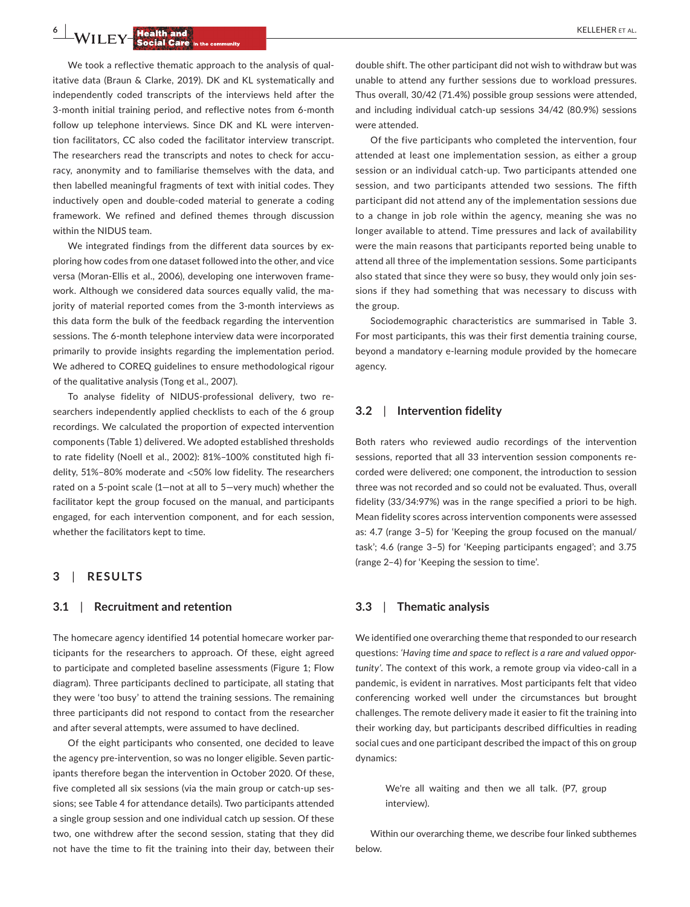**6**  $\blacksquare$  **WILEY Realth and <b>Report Following Construction** 

We took a reflective thematic approach to the analysis of qualitative data (Braun & Clarke, 2019). DK and KL systematically and independently coded transcripts of the interviews held after the 3-month initial training period, and reflective notes from 6-month follow up telephone interviews. Since DK and KL were intervention facilitators, CC also coded the facilitator interview transcript. The researchers read the transcripts and notes to check for accuracy, anonymity and to familiarise themselves with the data, and then labelled meaningful fragments of text with initial codes. They inductively open and double-coded material to generate a coding framework. We refined and defined themes through discussion within the NIDUS team.

We integrated findings from the different data sources by exploring how codes from one dataset followed into the other, and vice versa (Moran-Ellis et al., 2006), developing one interwoven framework. Although we considered data sources equally valid, the majority of material reported comes from the 3-month interviews as this data form the bulk of the feedback regarding the intervention sessions. The 6-month telephone interview data were incorporated primarily to provide insights regarding the implementation period. We adhered to COREQ guidelines to ensure methodological rigour of the qualitative analysis (Tong et al., 2007).

To analyse fidelity of NIDUS-professional delivery, two researchers independently applied checklists to each of the 6 group recordings. We calculated the proportion of expected intervention components (Table 1) delivered. We adopted established thresholds to rate fidelity (Noell et al., 2002): 81%–100% constituted high fidelity, 51%–80% moderate and <50% low fidelity. The researchers rated on a 5-point scale (1—not at all to 5—very much) whether the facilitator kept the group focused on the manual, and participants engaged, for each intervention component, and for each session, whether the facilitators kept to time.

# **3**  | **RESULTS**

#### **3.1**  | **Recruitment and retention**

The homecare agency identified 14 potential homecare worker participants for the researchers to approach. Of these, eight agreed to participate and completed baseline assessments (Figure 1; Flow diagram). Three participants declined to participate, all stating that they were 'too busy' to attend the training sessions. The remaining three participants did not respond to contact from the researcher and after several attempts, were assumed to have declined.

Of the eight participants who consented, one decided to leave the agency pre-intervention, so was no longer eligible. Seven participants therefore began the intervention in October 2020. Of these, five completed all six sessions (via the main group or catch-up sessions; see Table 4 for attendance details). Two participants attended a single group session and one individual catch up session. Of these two, one withdrew after the second session, stating that they did not have the time to fit the training into their day, between their

double shift. The other participant did not wish to withdraw but was unable to attend any further sessions due to workload pressures. Thus overall, 30/42 (71.4%) possible group sessions were attended, and including individual catch-up sessions 34/42 (80.9%) sessions were attended.

Of the five participants who completed the intervention, four attended at least one implementation session, as either a group session or an individual catch-up. Two participants attended one session, and two participants attended two sessions. The fifth participant did not attend any of the implementation sessions due to a change in job role within the agency, meaning she was no longer available to attend. Time pressures and lack of availability were the main reasons that participants reported being unable to attend all three of the implementation sessions. Some participants also stated that since they were so busy, they would only join sessions if they had something that was necessary to discuss with the group.

Sociodemographic characteristics are summarised in Table 3. For most participants, this was their first dementia training course, beyond a mandatory e-learning module provided by the homecare agency.

# **3.2**  | **Intervention fidelity**

Both raters who reviewed audio recordings of the intervention sessions, reported that all 33 intervention session components recorded were delivered; one component, the introduction to session three was not recorded and so could not be evaluated. Thus, overall fidelity (33/34:97%) was in the range specified a priori to be high. Mean fidelity scores across intervention components were assessed as: 4.7 (range 3–5) for 'Keeping the group focused on the manual/ task'; 4.6 (range 3–5) for 'Keeping participants engaged'; and 3.75 (range 2–4) for 'Keeping the session to time'.

# **3.3**  | **Thematic analysis**

We identified one overarching theme that responded to our research questions: *'Having time and space to reflect is a rare and valued opportunity'*. The context of this work, a remote group via video-call in a pandemic, is evident in narratives. Most participants felt that video conferencing worked well under the circumstances but brought challenges. The remote delivery made it easier to fit the training into their working day, but participants described difficulties in reading social cues and one participant described the impact of this on group dynamics:

> We're all waiting and then we all talk. (P7, group interview).

Within our overarching theme, we describe four linked subthemes below.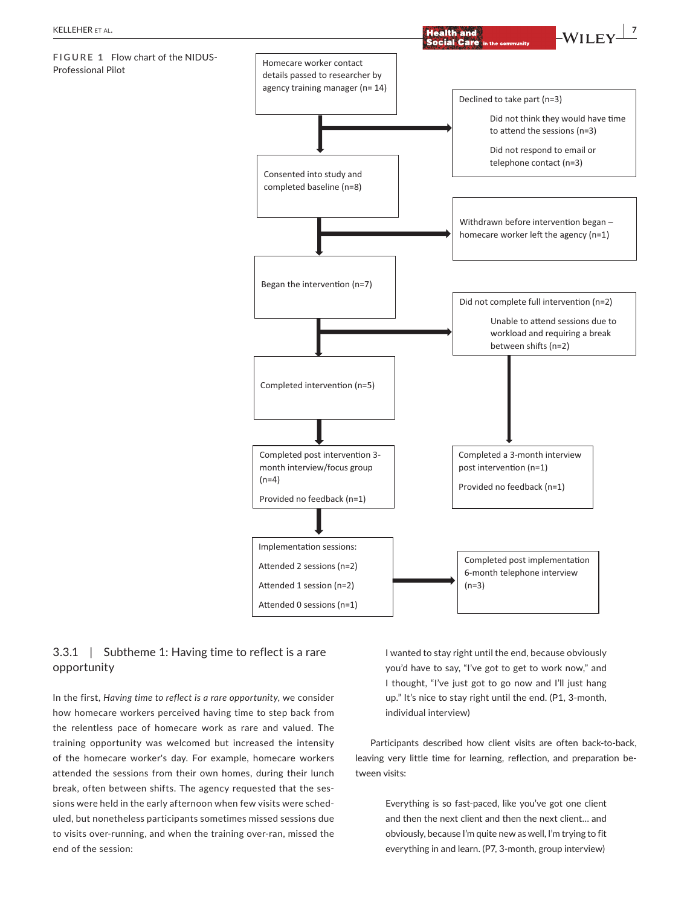

# 3.3.1 | Subtheme 1: Having time to reflect is a rare opportunity

In the first, *Having time to reflect is a rare opportunity*, we consider how homecare workers perceived having time to step back from the relentless pace of homecare work as rare and valued. The training opportunity was welcomed but increased the intensity of the homecare worker's day. For example, homecare workers attended the sessions from their own homes, during their lunch break, often between shifts. The agency requested that the sessions were held in the early afternoon when few visits were scheduled, but nonetheless participants sometimes missed sessions due to visits over-running, and when the training over-ran, missed the end of the session:

I wanted to stay right until the end, because obviously you'd have to say, "I've got to get to work now," and I thought, "I've just got to go now and I'll just hang up." It's nice to stay right until the end. (P1, 3-month, individual interview)

Participants described how client visits are often back-to-back, leaving very little time for learning, reflection, and preparation between visits:

> Everything is so fast-paced, like you've got one client and then the next client and then the next client… and obviously, because I'm quite new as well, I'm trying to fit everything in and learn. (P7, 3-month, group interview)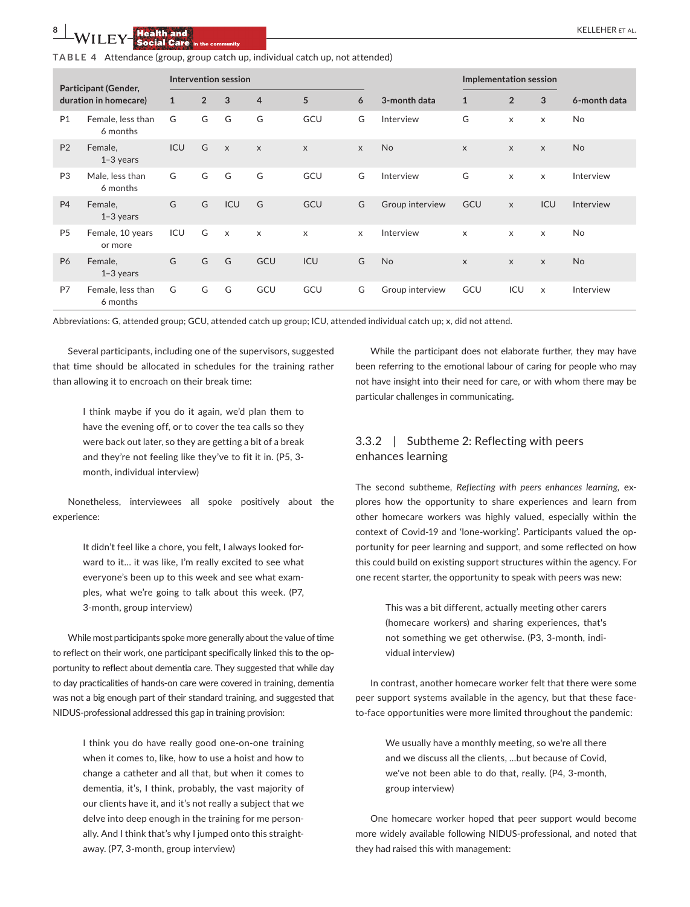|  |  |  |  |  | TABLE 4 Attendance (group, group catch up, individual catch up, not attended) |  |
|--|--|--|--|--|-------------------------------------------------------------------------------|--|
|--|--|--|--|--|-------------------------------------------------------------------------------|--|

| Participant (Gender,<br>duration in homecare) |                               | Intervention session |                |                           |                |                |          |                 | Implementation session |                |              |                |
|-----------------------------------------------|-------------------------------|----------------------|----------------|---------------------------|----------------|----------------|----------|-----------------|------------------------|----------------|--------------|----------------|
|                                               |                               | $\mathbf{1}$         | $\overline{2}$ | $\mathbf{3}$              | $\overline{4}$ | 5              | 6        | 3-month data    | $\mathbf{1}$           | $\overline{2}$ | 3            | 6-month data   |
| P <sub>1</sub>                                | Female, less than<br>6 months | G                    | G              | G                         | G              | GCU            | G        | Interview       | G                      | $\mathsf{x}$   | $\times$     | No             |
| <b>P2</b>                                     | Female.<br>$1-3$ years        | ICU                  | G              | $\mathsf{X}$              | $\mathsf{x}$   | $\mathsf{X}$   | X        | <b>No</b>       | $\mathsf{X}$           | $\mathsf{x}$   | $\mathsf{x}$ | <b>No</b>      |
| P <sub>3</sub>                                | Male, less than<br>6 months   | G                    | G              | G                         | G              | GCU            | G        | Interview       | G                      | $\mathsf{x}$   | $\times$     | Interview      |
| <b>P4</b>                                     | Female,<br>$1-3$ years        | G                    | G              | ICU                       | G              | GCU            | G        | Group interview | GCU                    | $\mathsf{x}$   | ICU          | Interview      |
| P <sub>5</sub>                                | Female, 10 years<br>or more   | ICU                  | G              | $\boldsymbol{\mathsf{x}}$ | $\mathsf{x}$   | $\pmb{\times}$ | $\times$ | Interview       | $\times$               | $\mathsf{x}$   | X            | No.            |
| <b>P6</b>                                     | Female,<br>$1-3$ years        | G                    | G              | G                         | GCU            | ICU            | G        | No              | $\times$               | $\mathsf{x}$   | $\mathsf{x}$ | N <sub>o</sub> |
| P7                                            | Female, less than<br>6 months | G                    | G              | G                         | GCU            | GCU            | G        | Group interview | GCU                    | ICU            | $\times$     | Interview      |

Abbreviations: G, attended group; GCU, attended catch up group; ICU, attended individual catch up; x, did not attend.

Several participants, including one of the supervisors, suggested that time should be allocated in schedules for the training rather than allowing it to encroach on their break time:

> I think maybe if you do it again, we'd plan them to have the evening off, or to cover the tea calls so they were back out later, so they are getting a bit of a break and they're not feeling like they've to fit it in. (P5, 3 month, individual interview)

Nonetheless, interviewees all spoke positively about the experience:

> It didn't feel like a chore, you felt, I always looked forward to it… it was like, I'm really excited to see what everyone's been up to this week and see what examples, what we're going to talk about this week. (P7, 3-month, group interview)

While most participants spoke more generally about the value of time to reflect on their work, one participant specifically linked this to the opportunity to reflect about dementia care. They suggested that while day to day practicalities of hands-on care were covered in training, dementia was not a big enough part of their standard training, and suggested that NIDUS-professional addressed this gap in training provision:

> I think you do have really good one-on-one training when it comes to, like, how to use a hoist and how to change a catheter and all that, but when it comes to dementia, it's, I think, probably, the vast majority of our clients have it, and it's not really a subject that we delve into deep enough in the training for me personally. And I think that's why I jumped onto this straightaway. (P7, 3-month, group interview)

While the participant does not elaborate further, they may have been referring to the emotional labour of caring for people who may not have insight into their need for care, or with whom there may be particular challenges in communicating.

# 3.3.2 | Subtheme 2: Reflecting with peers enhances learning

The second subtheme, *Reflecting with peers enhances learning,* explores how the opportunity to share experiences and learn from other homecare workers was highly valued, especially within the context of Covid-19 and 'lone-working'. Participants valued the opportunity for peer learning and support, and some reflected on how this could build on existing support structures within the agency. For one recent starter, the opportunity to speak with peers was new:

> This was a bit different, actually meeting other carers (homecare workers) and sharing experiences, that's not something we get otherwise. (P3, 3-month, individual interview)

In contrast, another homecare worker felt that there were some peer support systems available in the agency, but that these faceto-face opportunities were more limited throughout the pandemic:

> We usually have a monthly meeting, so we're all there and we discuss all the clients, …but because of Covid, we've not been able to do that, really. (P4, 3-month, group interview)

One homecare worker hoped that peer support would become more widely available following NIDUS-professional, and noted that they had raised this with management: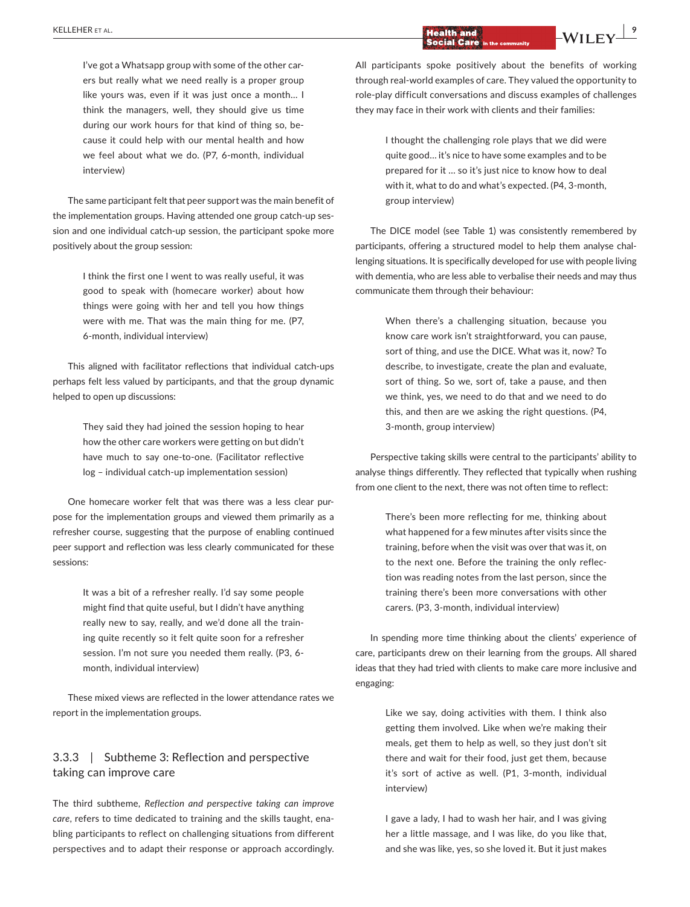I've got a Whatsapp group with some of the other carers but really what we need really is a proper group like yours was, even if it was just once a month… I think the managers, well, they should give us time during our work hours for that kind of thing so, because it could help with our mental health and how we feel about what we do. (P7, 6-month, individual interview)

The same participant felt that peer support was the main benefit of the implementation groups. Having attended one group catch-up session and one individual catch-up session, the participant spoke more positively about the group session:

> I think the first one I went to was really useful, it was good to speak with (homecare worker) about how things were going with her and tell you how things were with me. That was the main thing for me. (P7, 6-month, individual interview)

This aligned with facilitator reflections that individual catch-ups perhaps felt less valued by participants, and that the group dynamic helped to open up discussions:

> They said they had joined the session hoping to hear how the other care workers were getting on but didn't have much to say one-to-one. (Facilitator reflective log – individual catch-up implementation session)

One homecare worker felt that was there was a less clear purpose for the implementation groups and viewed them primarily as a refresher course, suggesting that the purpose of enabling continued peer support and reflection was less clearly communicated for these sessions:

> It was a bit of a refresher really. I'd say some people might find that quite useful, but I didn't have anything really new to say, really, and we'd done all the training quite recently so it felt quite soon for a refresher session. I'm not sure you needed them really. (P3, 6 month, individual interview)

These mixed views are reflected in the lower attendance rates we report in the implementation groups.

# 3.3.3 | Subtheme 3: Reflection and perspective taking can improve care

The third subtheme, *Reflection and perspective taking can improve care*, refers to time dedicated to training and the skills taught, enabling participants to reflect on challenging situations from different perspectives and to adapt their response or approach accordingly.

All participants spoke positively about the benefits of working through real-world examples of care. They valued the opportunity to role-play difficult conversations and discuss examples of challenges they may face in their work with clients and their families:

> I thought the challenging role plays that we did were quite good… it's nice to have some examples and to be prepared for it … so it's just nice to know how to deal with it, what to do and what's expected. (P4, 3-month, group interview)

The DICE model (see Table 1) was consistently remembered by participants, offering a structured model to help them analyse challenging situations. It is specifically developed for use with people living with dementia, who are less able to verbalise their needs and may thus communicate them through their behaviour:

> When there's a challenging situation, because you know care work isn't straightforward, you can pause, sort of thing, and use the DICE. What was it, now? To describe, to investigate, create the plan and evaluate, sort of thing. So we, sort of, take a pause, and then we think, yes, we need to do that and we need to do this, and then are we asking the right questions. (P4, 3-month, group interview)

Perspective taking skills were central to the participants' ability to analyse things differently. They reflected that typically when rushing from one client to the next, there was not often time to reflect:

> There's been more reflecting for me, thinking about what happened for a few minutes after visits since the training, before when the visit was over that was it, on to the next one. Before the training the only reflection was reading notes from the last person, since the training there's been more conversations with other carers. (P3, 3-month, individual interview)

In spending more time thinking about the clients' experience of care, participants drew on their learning from the groups. All shared ideas that they had tried with clients to make care more inclusive and engaging:

> Like we say, doing activities with them. I think also getting them involved. Like when we're making their meals, get them to help as well, so they just don't sit there and wait for their food, just get them, because it's sort of active as well. (P1, 3-month, individual interview)

> I gave a lady, I had to wash her hair, and I was giving her a little massage, and I was like, do you like that, and she was like, yes, so she loved it. But it just makes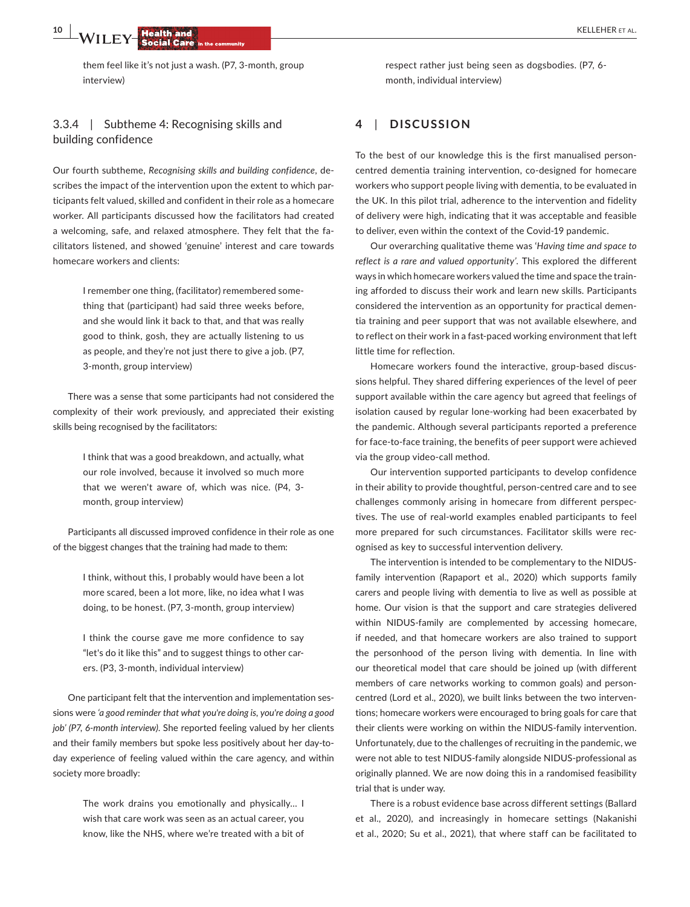**10 <sup>|</sup>**  KELLEHER et al.

them feel like it's not just a wash. (P7, 3-month, group interview)

# 3.3.4 | Subtheme 4: Recognising skills and building confidence

Our fourth subtheme, *Recognising skills and building confidence*, describes the impact of the intervention upon the extent to which participants felt valued, skilled and confident in their role as a homecare worker. All participants discussed how the facilitators had created a welcoming, safe, and relaxed atmosphere. They felt that the facilitators listened, and showed 'genuine' interest and care towards homecare workers and clients:

> I remember one thing, (facilitator) remembered something that (participant) had said three weeks before, and she would link it back to that, and that was really good to think, gosh, they are actually listening to us as people, and they're not just there to give a job. (P7, 3-month, group interview)

There was a sense that some participants had not considered the complexity of their work previously, and appreciated their existing skills being recognised by the facilitators:

> I think that was a good breakdown, and actually, what our role involved, because it involved so much more that we weren't aware of, which was nice. (P4, 3 month, group interview)

Participants all discussed improved confidence in their role as one of the biggest changes that the training had made to them:

> I think, without this, I probably would have been a lot more scared, been a lot more, like, no idea what I was doing, to be honest. (P7, 3-month, group interview)

> I think the course gave me more confidence to say "let's do it like this" and to suggest things to other carers. (P3, 3-month, individual interview)

One participant felt that the intervention and implementation sessions were *'a good reminder that what you're doing is, you're doing a good job' (P7, 6-month interview)*. She reported feeling valued by her clients and their family members but spoke less positively about her day-today experience of feeling valued within the care agency, and within society more broadly:

> The work drains you emotionally and physically… I wish that care work was seen as an actual career, you know, like the NHS, where we're treated with a bit of

respect rather just being seen as dogsbodies. (P7, 6 month, individual interview)

# **4**  | **DISCUSSION**

To the best of our knowledge this is the first manualised personcentred dementia training intervention, co-designed for homecare workers who support people living with dementia, to be evaluated in the UK. In this pilot trial, adherence to the intervention and fidelity of delivery were high, indicating that it was acceptable and feasible to deliver, even within the context of the Covid-19 pandemic.

Our overarching qualitative theme was '*Having time and space to reflect is a rare and valued opportunity'*. This explored the different ways in which homecare workers valued the time and space the training afforded to discuss their work and learn new skills. Participants considered the intervention as an opportunity for practical dementia training and peer support that was not available elsewhere, and to reflect on their work in a fast-paced working environment that left little time for reflection.

Homecare workers found the interactive, group-based discussions helpful. They shared differing experiences of the level of peer support available within the care agency but agreed that feelings of isolation caused by regular lone-working had been exacerbated by the pandemic. Although several participants reported a preference for face-to-face training, the benefits of peer support were achieved via the group video-call method.

Our intervention supported participants to develop confidence in their ability to provide thoughtful, person-centred care and to see challenges commonly arising in homecare from different perspectives. The use of real-world examples enabled participants to feel more prepared for such circumstances. Facilitator skills were recognised as key to successful intervention delivery.

The intervention is intended to be complementary to the NIDUSfamily intervention (Rapaport et al., 2020) which supports family carers and people living with dementia to live as well as possible at home. Our vision is that the support and care strategies delivered within NIDUS-family are complemented by accessing homecare, if needed, and that homecare workers are also trained to support the personhood of the person living with dementia. In line with our theoretical model that care should be joined up (with different members of care networks working to common goals) and personcentred (Lord et al., 2020), we built links between the two interventions; homecare workers were encouraged to bring goals for care that their clients were working on within the NIDUS-family intervention. Unfortunately, due to the challenges of recruiting in the pandemic, we were not able to test NIDUS-family alongside NIDUS-professional as originally planned. We are now doing this in a randomised feasibility trial that is under way.

There is a robust evidence base across different settings (Ballard et al., 2020), and increasingly in homecare settings (Nakanishi et al., 2020; Su et al., 2021), that where staff can be facilitated to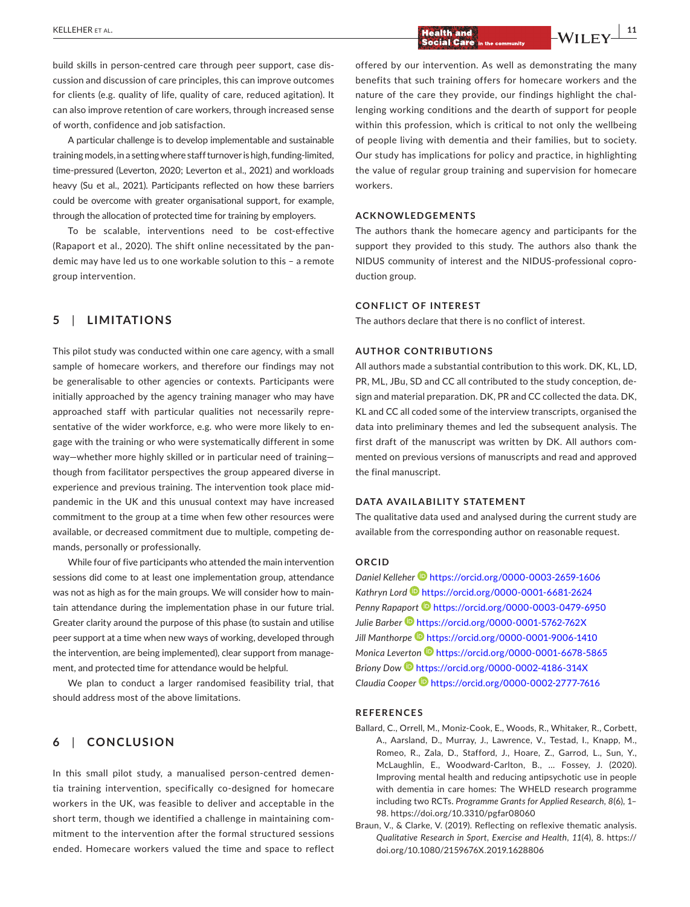build skills in person-centred care through peer support, case discussion and discussion of care principles, this can improve outcomes for clients (e.g. quality of life, quality of care, reduced agitation). It can also improve retention of care workers, through increased sense of worth, confidence and job satisfaction.

A particular challenge is to develop implementable and sustainable training models, in a setting where staff turnover is high, funding-limited, time-pressured (Leverton, 2020; Leverton et al., 2021) and workloads heavy (Su et al., 2021). Participants reflected on how these barriers could be overcome with greater organisational support, for example, through the allocation of protected time for training by employers.

To be scalable, interventions need to be cost-effective (Rapaport et al., 2020). The shift online necessitated by the pandemic may have led us to one workable solution to this – a remote group intervention.

# **5**  | **LIMITATIONS**

This pilot study was conducted within one care agency, with a small sample of homecare workers, and therefore our findings may not be generalisable to other agencies or contexts. Participants were initially approached by the agency training manager who may have approached staff with particular qualities not necessarily representative of the wider workforce, e.g. who were more likely to engage with the training or who were systematically different in some way—whether more highly skilled or in particular need of training though from facilitator perspectives the group appeared diverse in experience and previous training. The intervention took place midpandemic in the UK and this unusual context may have increased commitment to the group at a time when few other resources were available, or decreased commitment due to multiple, competing demands, personally or professionally.

While four of five participants who attended the main intervention sessions did come to at least one implementation group, attendance was not as high as for the main groups. We will consider how to maintain attendance during the implementation phase in our future trial. Greater clarity around the purpose of this phase (to sustain and utilise peer support at a time when new ways of working, developed through the intervention, are being implemented), clear support from management, and protected time for attendance would be helpful.

We plan to conduct a larger randomised feasibility trial, that should address most of the above limitations.

# **6**  | **CONCLUSION**

In this small pilot study, a manualised person-centred dementia training intervention, specifically co-designed for homecare workers in the UK, was feasible to deliver and acceptable in the short term, though we identified a challenge in maintaining commitment to the intervention after the formal structured sessions ended. Homecare workers valued the time and space to reflect

offered by our intervention. As well as demonstrating the many benefits that such training offers for homecare workers and the nature of the care they provide, our findings highlight the challenging working conditions and the dearth of support for people within this profession, which is critical to not only the wellbeing of people living with dementia and their families, but to society. Our study has implications for policy and practice, in highlighting the value of regular group training and supervision for homecare workers.

### **ACKNOWLEDGEMENTS**

The authors thank the homecare agency and participants for the support they provided to this study. The authors also thank the NIDUS community of interest and the NIDUS-professional coproduction group.

# **CONFLICT OF INTEREST**

The authors declare that there is no conflict of interest.

#### **AUTHOR CONTRIBUTIONS**

All authors made a substantial contribution to this work. DK, KL, LD, PR, ML, JBu, SD and CC all contributed to the study conception, design and material preparation. DK, PR and CC collected the data. DK, KL and CC all coded some of the interview transcripts, organised the data into preliminary themes and led the subsequent analysis. The first draft of the manuscript was written by DK. All authors commented on previous versions of manuscripts and read and approved the final manuscript.

#### **DATA AVAILABILITY STATEMENT**

The qualitative data used and analysed during the current study are available from the corresponding author on reasonable request.

#### **ORCID**

*Daniel Kellehe[r](https://orcid.org/0000-0003-2659-1606)* <https://orcid.org/0000-0003-2659-1606> *Kathryn Lord* <https://orcid.org/0000-0001-6681-2624> *Penny Rapaport* <https://orcid.org/0000-0003-0479-6950> *Julie Barber* <https://orcid.org/0000-0001-5762-762X> *Jill Manthorpe* <https://orcid.org/0000-0001-9006-1410> *Monica Leverton* <https://orcid.org/0000-0001-6678-5865> *Briony Dow* <https://orcid.org/0000-0002-4186-314X> *Claudia Coope[r](https://orcid.org/0000-0002-2777-7616)* <https://orcid.org/0000-0002-2777-7616>

#### **REFERENCES**

- Ballard, C., Orrell, M., Moniz-Cook, E., Woods, R., Whitaker, R., Corbett, A., Aarsland, D., Murray, J., Lawrence, V., Testad, I., Knapp, M., Romeo, R., Zala, D., Stafford, J., Hoare, Z., Garrod, L., Sun, Y., McLaughlin, E., Woodward-Carlton, B., … Fossey, J. (2020). Improving mental health and reducing antipsychotic use in people with dementia in care homes: The WHELD research programme including two RCTs. *Programme Grants for Applied Research*, *8*(6), 1– 98.<https://doi.org/10.3310/pgfar08060>
- Braun, V., & Clarke, V. (2019). Reflecting on reflexive thematic analysis. *Qualitative Research in Sport, Exercise and Health*, *11*(4), 8. [https://](https://doi.org/10.1080/2159676X.2019.1628806) [doi.org/10.1080/2159676X.2019.1628806](https://doi.org/10.1080/2159676X.2019.1628806)